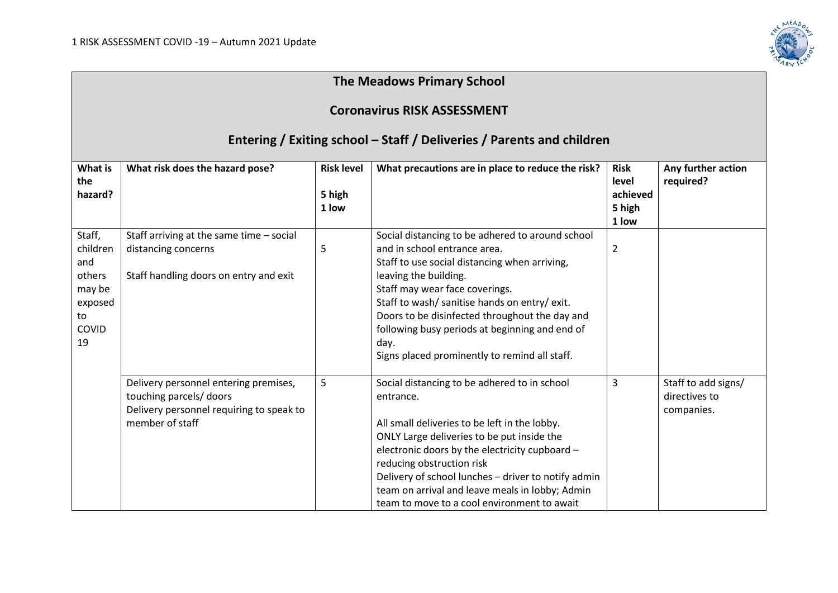

## **The Meadows Primary School**

## **Coronavirus RISK ASSESSMENT**

## **Entering / Exiting school – Staff / Deliveries / Parents and children**

| What is<br>the<br>hazard?                                                            | What risk does the hazard pose?                                                                                                 | <b>Risk level</b><br>5 high<br>1 low | What precautions are in place to reduce the risk?                                                                                                                                                                                                                                                                                                                                                          | <b>Risk</b><br>level<br>achieved<br>5 high<br>1 low | Any further action<br>required?                    |
|--------------------------------------------------------------------------------------|---------------------------------------------------------------------------------------------------------------------------------|--------------------------------------|------------------------------------------------------------------------------------------------------------------------------------------------------------------------------------------------------------------------------------------------------------------------------------------------------------------------------------------------------------------------------------------------------------|-----------------------------------------------------|----------------------------------------------------|
| Staff,<br>children<br>and<br>others<br>may be<br>exposed<br>to<br><b>COVID</b><br>19 | Staff arriving at the same time - social<br>distancing concerns<br>Staff handling doors on entry and exit                       | 5                                    | Social distancing to be adhered to around school<br>and in school entrance area.<br>Staff to use social distancing when arriving,<br>leaving the building.<br>Staff may wear face coverings.<br>Staff to wash/ sanitise hands on entry/ exit.<br>Doors to be disinfected throughout the day and<br>following busy periods at beginning and end of<br>day.<br>Signs placed prominently to remind all staff. | $\overline{2}$                                      |                                                    |
|                                                                                      | Delivery personnel entering premises,<br>touching parcels/ doors<br>Delivery personnel requiring to speak to<br>member of staff | 5                                    | Social distancing to be adhered to in school<br>entrance.<br>All small deliveries to be left in the lobby.<br>ONLY Large deliveries to be put inside the<br>electronic doors by the electricity cupboard -<br>reducing obstruction risk<br>Delivery of school lunches - driver to notify admin<br>team on arrival and leave meals in lobby; Admin<br>team to move to a cool environment to await           | 3                                                   | Staff to add signs/<br>directives to<br>companies. |